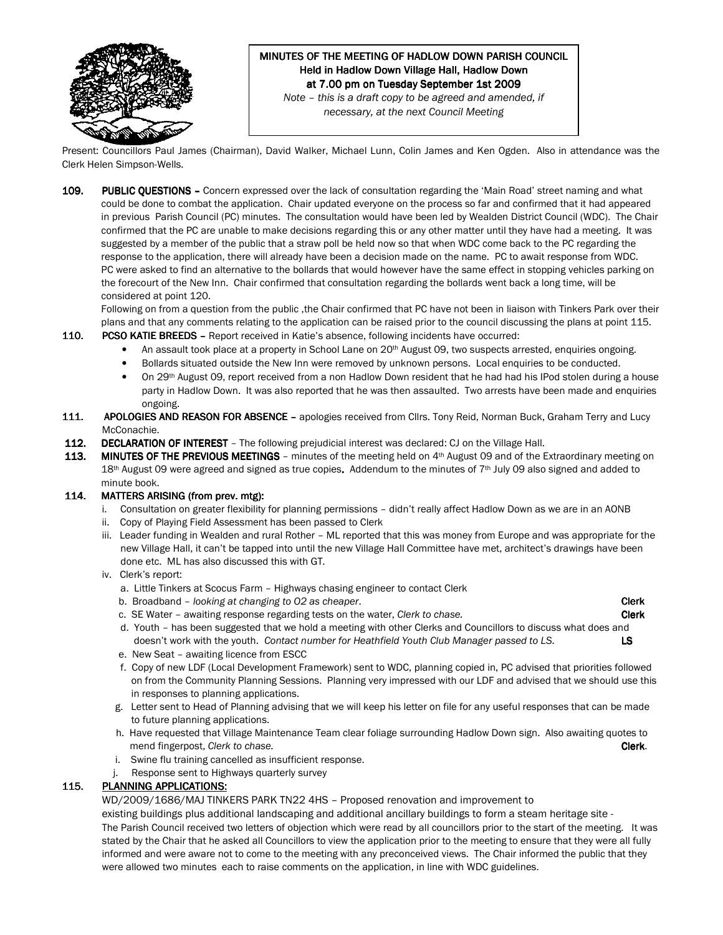

# MINUTES OF THE MEETING OF HADLOW DOWN PARISH COUNCIL Held in Hadlow Down Village Hall, Hadlow Down at 7.00 pm on Tuesday September 1st 2009

Note – this is a draft copy to be agreed and amended, if necessary, at the next Council Meeting

Present: Councillors Paul James (Chairman), David Walker, Michael Lunn, Colin James and Ken Ogden. Also in attendance was the Clerk Helen Simpson-Wells.

109. PUBLIC QUESTIONS – Concern expressed over the lack of consultation regarding the 'Main Road' street naming and what could be done to combat the application. Chair updated everyone on the process so far and confirmed that it had appeared in previous Parish Council (PC) minutes. The consultation would have been led by Wealden District Council (WDC). The Chair confirmed that the PC are unable to make decisions regarding this or any other matter until they have had a meeting. It was suggested by a member of the public that a straw poll be held now so that when WDC come back to the PC regarding the response to the application, there will already have been a decision made on the name. PC to await response from WDC. PC were asked to find an alternative to the bollards that would however have the same effect in stopping vehicles parking on the forecourt of the New Inn. Chair confirmed that consultation regarding the bollards went back a long time, will be considered at point 120.

Following on from a question from the public ,the Chair confirmed that PC have not been in liaison with Tinkers Park over their plans and that any comments relating to the application can be raised prior to the council discussing the plans at point 115. 110. PCSO KATIE BREEDS - Report received in Katie's absence, following incidents have occurred:

- An assault took place at a property in School Lane on 20<sup>th</sup> August 09, two suspects arrested, enquiries ongoing.
	- Bollards situated outside the New Inn were removed by unknown persons. Local enquiries to be conducted.
	- On 29<sup>th</sup> August 09, report received from a non Hadlow Down resident that he had had his IPod stolen during a house party in Hadlow Down. It was also reported that he was then assaulted. Two arrests have been made and enquiries ongoing.
- 111. APOLOGIES AND REASON FOR ABSENCE apologies received from Cllrs. Tony Reid, Norman Buck, Graham Terry and Lucy McConachie.
- 112. DECLARATION OF INTEREST The following prejudicial interest was declared: CJ on the Village Hall.
- 113. MINUTES OF THE PREVIOUS MEETINGS minutes of the meeting held on 4<sup>th</sup> August 09 and of the Extraordinary meeting on 18th August 09 were agreed and signed as true copies. Addendum to the minutes of 7th July 09 also signed and added to minute book.

#### 114. MATTERS ARISING (from prev. mtg):

- i. Consultation on greater flexibility for planning permissions didn't really affect Hadlow Down as we are in an AONB
- ii. Copy of Playing Field Assessment has been passed to Clerk
- iii. Leader funding in Wealden and rural Rother ML reported that this was money from Europe and was appropriate for the new Village Hall, it can't be tapped into until the new Village Hall Committee have met, architect's drawings have been done etc. ML has also discussed this with GT.
- iv. Clerk's report:
	- a. Little Tinkers at Scocus Farm Highways chasing engineer to contact Clerk
	- b. Broadband looking at changing to O2 as cheaper.
	- c. SE Water awaiting response regarding tests on the water, Clerk to chase.  $C$
	- d. Youth has been suggested that we hold a meeting with other Clerks and Councillors to discuss what does and doesn't work with the youth. Contact number for Heathfield Youth Club Manager passed to LS. LS
	- e. New Seat awaiting licence from ESCC
	- f. Copy of new LDF (Local Development Framework) sent to WDC, planning copied in, PC advised that priorities followed on from the Community Planning Sessions. Planning very impressed with our LDF and advised that we should use this in responses to planning applications.
	- g. Letter sent to Head of Planning advising that we will keep his letter on file for any useful responses that can be made to future planning applications.
	- h. Have requested that Village Maintenance Team clear foliage surrounding Hadlow Down sign. Also awaiting quotes to mend fingerpost, Clerk to chase. Community of the community of the community of the clerk.
	- i. Swine flu training cancelled as insufficient response.
	- j. Response sent to Highways quarterly survey

## 115. PLANNING APPLICATIONS:

WD/2009/1686/MAJ TINKERS PARK TN22 4HS – Proposed renovation and improvement to

 existing buildings plus additional landscaping and additional ancillary buildings to form a steam heritage site - The Parish Council received two letters of objection which were read by all councillors prior to the start of the meeting. It was stated by the Chair that he asked all Councillors to view the application prior to the meeting to ensure that they were all fully informed and were aware not to come to the meeting with any preconceived views. The Chair informed the public that they were allowed two minutes each to raise comments on the application, in line with WDC guidelines.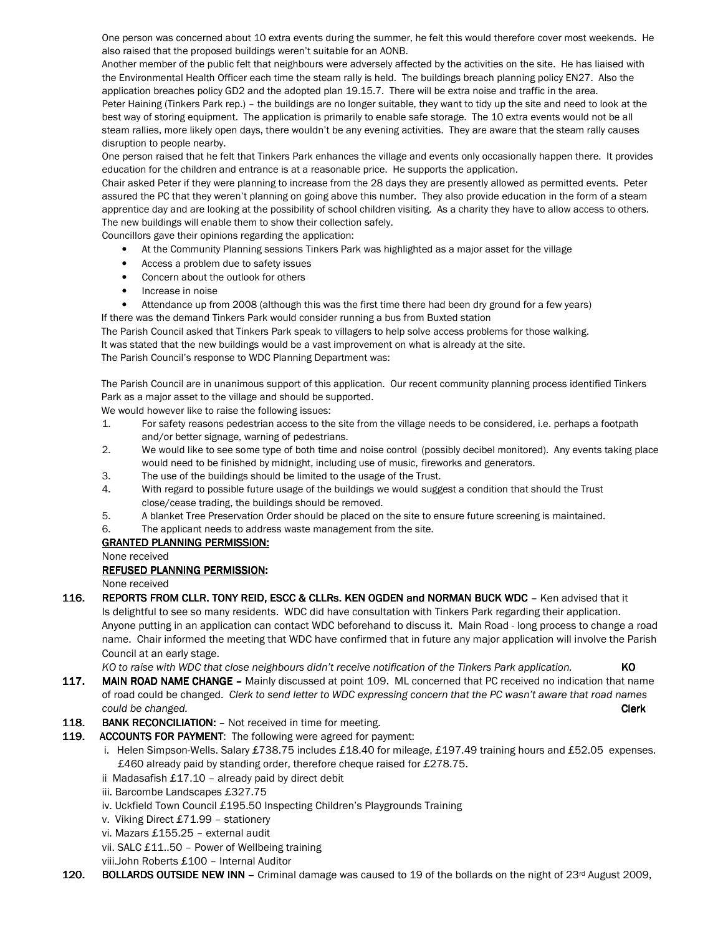One person was concerned about 10 extra events during the summer, he felt this would therefore cover most weekends. He also raised that the proposed buildings weren't suitable for an AONB.

 Another member of the public felt that neighbours were adversely affected by the activities on the site. He has liaised with the Environmental Health Officer each time the steam rally is held. The buildings breach planning policy EN27. Also the application breaches policy GD2 and the adopted plan 19.15.7. There will be extra noise and traffic in the area. Peter Haining (Tinkers Park rep.) – the buildings are no longer suitable, they want to tidy up the site and need to look at the best way of storing equipment. The application is primarily to enable safe storage. The 10 extra events would not be all steam rallies, more likely open days, there wouldn't be any evening activities. They are aware that the steam rally causes disruption to people nearby.

 One person raised that he felt that Tinkers Park enhances the village and events only occasionally happen there. It provides education for the children and entrance is at a reasonable price. He supports the application.

 Chair asked Peter if they were planning to increase from the 28 days they are presently allowed as permitted events. Peter assured the PC that they weren't planning on going above this number. They also provide education in the form of a steam apprentice day and are looking at the possibility of school children visiting. As a charity they have to allow access to others. The new buildings will enable them to show their collection safely.

Councillors gave their opinions regarding the application:

- At the Community Planning sessions Tinkers Park was highlighted as a major asset for the village
- Access a problem due to safety issues
- Concern about the outlook for others
- Increase in noise
- Attendance up from 2008 (although this was the first time there had been dry ground for a few years)

If there was the demand Tinkers Park would consider running a bus from Buxted station

The Parish Council asked that Tinkers Park speak to villagers to help solve access problems for those walking. It was stated that the new buildings would be a vast improvement on what is already at the site. The Parish Council's response to WDC Planning Department was:

The Parish Council are in unanimous support of this application. Our recent community planning process identified Tinkers Park as a major asset to the village and should be supported.

We would however like to raise the following issues:

- 1. For safety reasons pedestrian access to the site from the village needs to be considered, i.e. perhaps a footpath and/or better signage, warning of pedestrians.
- 2. We would like to see some type of both time and noise control (possibly decibel monitored). Any events taking place would need to be finished by midnight, including use of music, fireworks and generators.
- 3. The use of the buildings should be limited to the usage of the Trust.
- 4. With regard to possible future usage of the buildings we would suggest a condition that should the Trust close/cease trading, the buildings should be removed.
- 5. A blanket Tree Preservation Order should be placed on the site to ensure future screening is maintained.
- 6. The applicant needs to address waste management from the site.

#### GRANTED PLANNING PERMISSION: GRANTED PLANNING PERMISSION:

None received

#### REFUSED PLANNING PERMISSION:

None received

116. REPORTS FROM CLLR. TONY REID, ESCC & CLLRs. KEN OGDEN and NORMAN BUCK WDC - Ken advised that it Is delightful to see so many residents. WDC did have consultation with Tinkers Park regarding their application. Anyone putting in an application can contact WDC beforehand to discuss it. Main Road - long process to change a road name. Chair informed the meeting that WDC have confirmed that in future any major application will involve the Parish Council at an early stage.

KO to raise with WDC that close neighbours didn't receive notification of the Tinkers Park application. KO

117. MAIN ROAD NAME CHANGE – Mainly discussed at point 109. ML concerned that PC received no indication that name of road could be changed. Clerk to send letter to WDC expressing concern that the PC wasn't aware that road names could be changed. **Clerk** and the could be changed.

- 118. BANK RECONCILIATION: Not received in time for meeting.
- 119. ACCOUNTS FOR PAYMENT: The following were agreed for payment:
	- i. Helen Simpson-Wells. Salary £738.75 includes £18.40 for mileage, £197.49 training hours and £52.05 expenses. £460 already paid by standing order, therefore cheque raised for £278.75.
	- ii Madasafish £17.10 already paid by direct debit
	- iii. Barcombe Landscapes £327.75
	- iv. Uckfield Town Council £195.50 Inspecting Children's Playgrounds Training
	- v. Viking Direct £71.99 stationery
	- vi. Mazars £155.25 external audit

vii. SALC £11..50 – Power of Wellbeing training

- viii.John Roberts £100 Internal Auditor
- 120. BOLLARDS OUTSIDE NEW INN Criminal damage was caused to 19 of the bollards on the night of 23<sup>rd</sup> August 2009,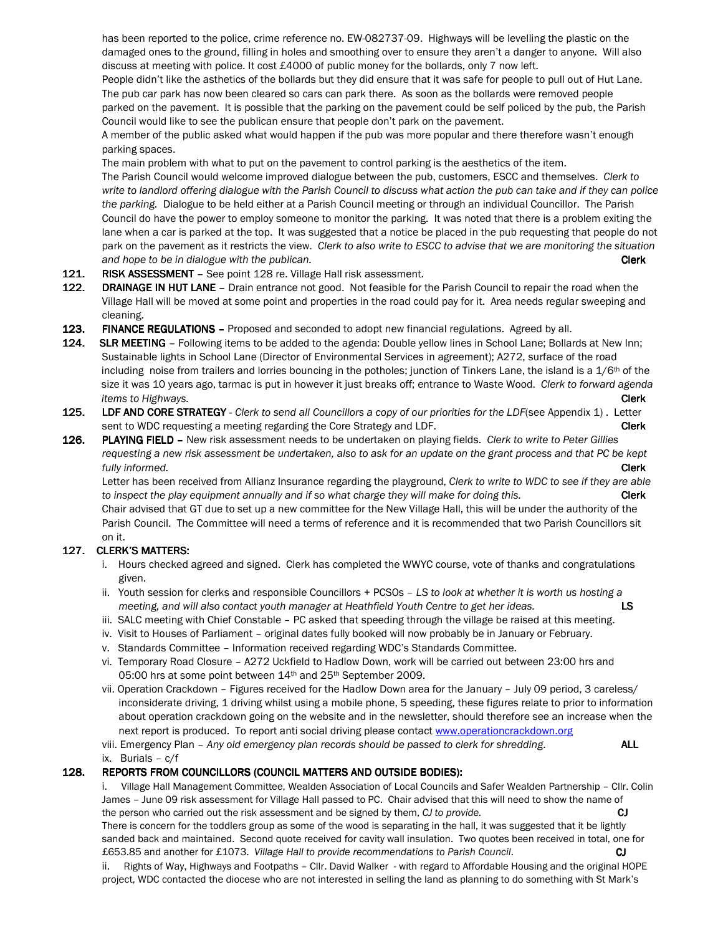has been reported to the police, crime reference no. EW-082737-09. Highways will be levelling the plastic on the damaged ones to the ground, filling in holes and smoothing over to ensure they aren't a danger to anyone. Will also discuss at meeting with police. It cost £4000 of public money for the bollards, only 7 now left.

 People didn't like the asthetics of the bollards but they did ensure that it was safe for people to pull out of Hut Lane. The pub car park has now been cleared so cars can park there. As soon as the bollards were removed people parked on the pavement. It is possible that the parking on the pavement could be self policed by the pub, the Parish

 Council would like to see the publican ensure that people don't park on the pavement. A member of the public asked what would happen if the pub was more popular and there therefore wasn't enough parking spaces.

The main problem with what to put on the pavement to control parking is the aesthetics of the item.

The Parish Council would welcome improved dialogue between the pub, customers, ESCC and themselves. Clerk to write to landlord offering dialogue with the Parish Council to discuss what action the pub can take and if they can police the parking. Dialogue to be held either at a Parish Council meeting or through an individual Councillor. The Parish Council do have the power to employ someone to monitor the parking. It was noted that there is a problem exiting the lane when a car is parked at the top. It was suggested that a notice be placed in the pub requesting that people do not park on the pavement as it restricts the view. Clerk to also write to ESCC to advise that we are monitoring the situation and hope to be in dialogue with the publican. Clerk Clerk Clerk Clerk Clerk Clerk Clerk Clerk Clerk Clerk Clerk

- 121. RISK ASSESSMENT See point 128 re. Village Hall risk assessment.
- 122. DRAINAGE IN HUT LANE Drain entrance not good. Not feasible for the Parish Council to repair the road when the Village Hall will be moved at some point and properties in the road could pay for it. Area needs regular sweeping and cleaning.
- 123. FINANCE REGULATIONS Proposed and seconded to adopt new financial regulations. Agreed by all.
- 124. SLR MEETING Following items to be added to the agenda: Double yellow lines in School Lane; Bollards at New Inn; Sustainable lights in School Lane (Director of Environmental Services in agreement); A272, surface of the road including noise from trailers and lorries bouncing in the potholes; junction of Tinkers Lane, the island is a  $1/6<sup>th</sup>$  of the size it was 10 years ago, tarmac is put in however it just breaks off; entrance to Waste Wood. Clerk to forward agenda items to Highways. **Clerk**
- 125. LDF AND CORE STRATEGY Clerk to send all Councillors a copy of our priorities for the LDF(see Appendix 1). Letter sent to WDC requesting a meeting regarding the Core Strategy and LDF.
- 126. PLAYING FIELD New risk assessment needs to be undertaken on playing fields. Clerk to write to Peter Gillies requesting a new risk assessment be undertaken, also to ask for an update on the grant process and that PC be kept **fully informed.** Clerk that the contract of the contract of the contract of the contract of the contract of the contract of the contract of the contract of the contract of the contract of the contract of the contract of t

Letter has been received from Allianz Insurance regarding the playground, Clerk to write to WDC to see if they are able to inspect the play equipment annually and if so what charge they will make for doing this. Clerk Chair advised that GT due to set up a new committee for the New Village Hall, this will be under the authority of the Parish Council. The Committee will need a terms of reference and it is recommended that two Parish Councillors sit on it.

# 127. CLERK'S MATTERS:

- i. Hours checked agreed and signed. Clerk has completed the WWYC course, vote of thanks and congratulations given.
- ii. Youth session for clerks and responsible Councillors + PCSOs LS to look at whether it is worth us hosting a meeting, and will also contact youth manager at Heathfield Youth Centre to get her ideas.
- iii. SALC meeting with Chief Constable PC asked that speeding through the village be raised at this meeting.
- iv. Visit to Houses of Parliament original dates fully booked will now probably be in January or February.
- v. Standards Committee Information received regarding WDC's Standards Committee.
- vi. Temporary Road Closure A272 Uckfield to Hadlow Down, work will be carried out between 23:00 hrs and 05:00 hrs at some point between 14<sup>th</sup> and 25<sup>th</sup> September 2009.
- vii. Operation Crackdown Figures received for the Hadlow Down area for the January July 09 period, 3 careless/ inconsiderate driving, 1 driving whilst using a mobile phone, 5 speeding, these figures relate to prior to information about operation crackdown going on the website and in the newsletter, should therefore see an increase when the next report is produced. To report anti social driving please contact www.operationcrackdown.org

viii. Emergency Plan – Any old emergency plan records should be passed to clerk for shredding. ALL ix. Burials – c/f

# 128. REPORTS FROM COUNCILLORS (COUNCIL MATTERS AND OUTSIDE BODIES):

 i. Village Hall Management Committee, Wealden Association of Local Councils and Safer Wealden Partnership – Cllr. Colin James – June 09 risk assessment for Village Hall passed to PC. Chair advised that this will need to show the name of the person who carried out the risk assessment and be signed by them, CJ to provide. CJ CJ

 There is concern for the toddlers group as some of the wood is separating in the hall, it was suggested that it be lightly sanded back and maintained. Second quote received for cavity wall insulation. Two quotes been received in total, one for £653.85 and another for £1073. Village Hall to provide recommendations to Parish Council. **CJ** CJ

 ii. Rights of Way, Highways and Footpaths – Cllr. David Walker - with regard to Affordable Housing and the original HOPE project, WDC contacted the diocese who are not interested in selling the land as planning to do something with St Mark's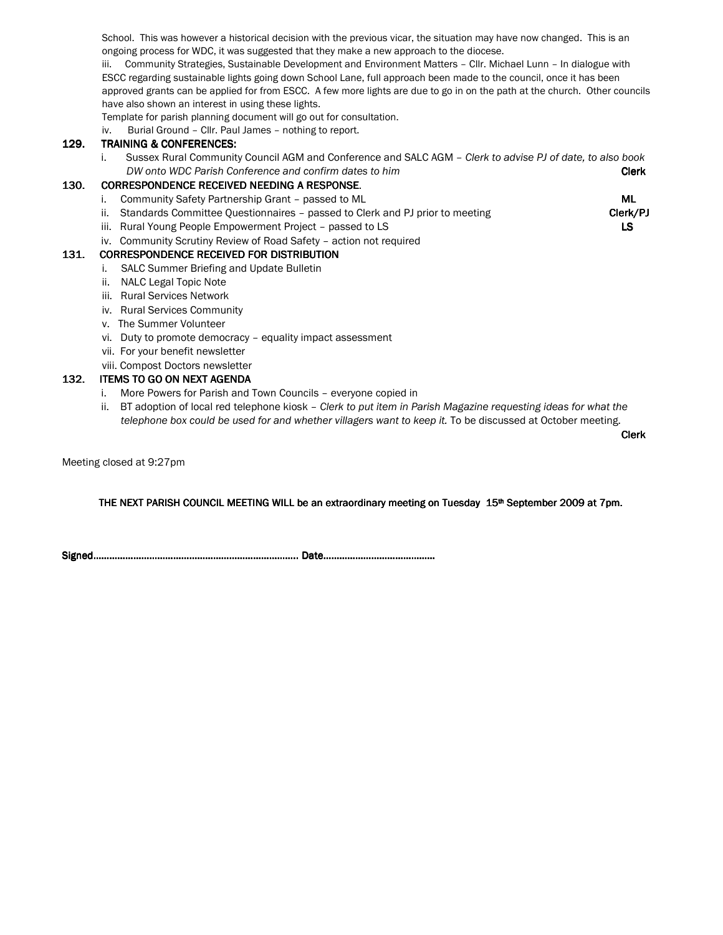School. This was however a historical decision with the previous vicar, the situation may have now changed. This is an ongoing process for WDC, it was suggested that they make a new approach to the diocese.

 iii. Community Strategies, Sustainable Development and Environment Matters – Cllr. Michael Lunn – In dialogue with ESCC regarding sustainable lights going down School Lane, full approach been made to the council, once it has been approved grants can be applied for from ESCC. A few more lights are due to go in on the path at the church. Other councils have also shown an interest in using these lights.

Template for parish planning document will go out for consultation.

iv. Burial Ground – Cllr. Paul James – nothing to report.

## 129. TRAINING & CONFERENCES:

i. Sussex Rural Community Council AGM and Conference and SALC AGM – Clerk to advise PJ of date, to also book DW onto WDC Parish Conference and confirm dates to him Controller Clerk Clerk

#### 130. CORRESPONDENCE RECEIVED NEEDING A RESPONSE.

- i. Community Safety Partnership Grant passed to ML ME
- ii. Standards Committee Questionnaires passed to Clerk and PJ prior to meeting Clerk/PJ Clerk/PJ
- iii. Rural Young People Empowerment Project passed to LS LS
- iv. Community Scrutiny Review of Road Safety action not required

#### 131. CORRESPONDENCE RECEIVED FOR DISTRIBUTION

- i. SALC Summer Briefing and Update Bulletin
- ii. NALC Legal Topic Note
- iii. Rural Services Network
- iv. Rural Services Community
- v. The Summer Volunteer
- vi. Duty to promote democracy equality impact assessment
- vii. For your benefit newsletter
- viii. Compost Doctors newsletter

## 132. ITEMS TO GO ON NEXT AGENDA

- i. More Powers for Parish and Town Councils everyone copied in
- ii. BT adoption of local red telephone kiosk Clerk to put item in Parish Magazine requesting ideas for what the telephone box could be used for and whether villagers want to keep it. To be discussed at October meeting.

and the control of the control of the control of the control of the control of the control of the control of the control of the control of the control of the control of the control of the control of the control of the cont

Meeting closed at 9:27pm

THE NEXT PARISH COUNCIL MEETING WILL be an extraordinary meeting on Tuesday 15<sup>th</sup> September 2009 at 7pm.

Signed………………………………………………………………….. Signed…………………………………………………………………..…………………..Date…………………………………… Date…………………………………… Date……………………………………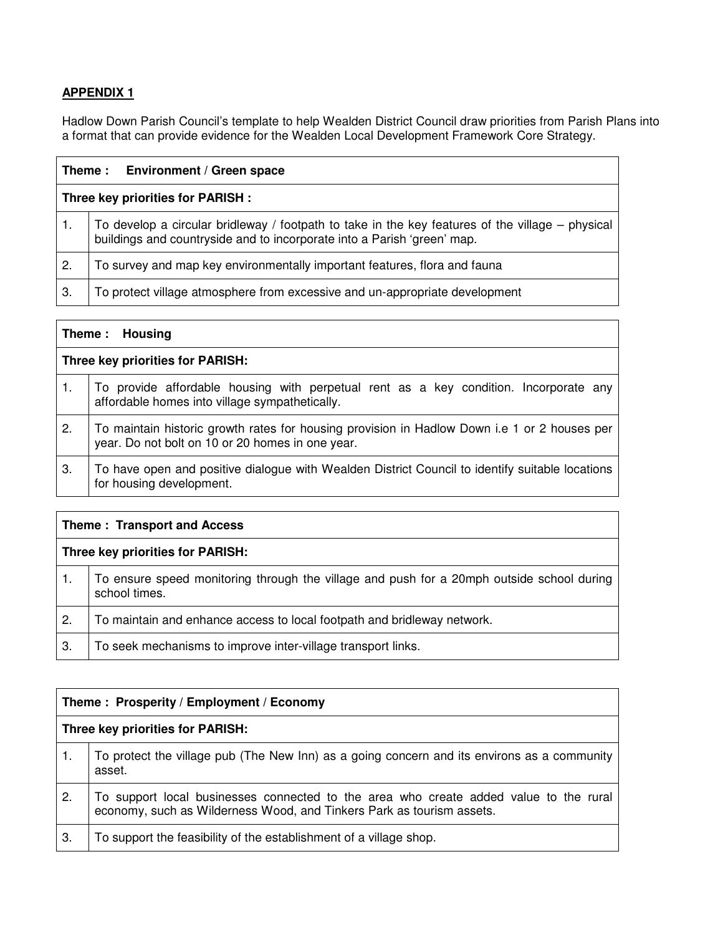# **APPENDIX 1**

Hadlow Down Parish Council's template to help Wealden District Council draw priorities from Parish Plans into a format that can provide evidence for the Wealden Local Development Framework Core Strategy.

|                                   | Theme: Environment / Green space                                                                                                                                              |
|-----------------------------------|-------------------------------------------------------------------------------------------------------------------------------------------------------------------------------|
| Three key priorities for PARISH : |                                                                                                                                                                               |
| 1.                                | To develop a circular bridleway / footpath to take in the key features of the village $-$ physical<br>buildings and countryside and to incorporate into a Parish 'green' map. |
| $\mathbf{2}$                      | To survey and map key environmentally important features, flora and fauna                                                                                                     |
| 3.                                | To protect village atmosphere from excessive and un-appropriate development                                                                                                   |

| Theme: Housing                   |                                                                                                                                                  |
|----------------------------------|--------------------------------------------------------------------------------------------------------------------------------------------------|
| Three key priorities for PARISH: |                                                                                                                                                  |
|                                  | To provide affordable housing with perpetual rent as a key condition. Incorporate any<br>affordable homes into village sympathetically.          |
| 2.                               | To maintain historic growth rates for housing provision in Hadlow Down i.e 1 or 2 houses per<br>year. Do not bolt on 10 or 20 homes in one year. |
| З.                               | To have open and positive dialogue with Wealden District Council to identify suitable locations<br>for housing development.                      |

| Theme: Transport and Access      |                                                                                                            |
|----------------------------------|------------------------------------------------------------------------------------------------------------|
| Three key priorities for PARISH: |                                                                                                            |
|                                  | To ensure speed monitoring through the village and push for a 20mph outside school during<br>school times. |
| $\mathbf{2}$                     | To maintain and enhance access to local footpath and bridleway network.                                    |
| 3.                               | To seek mechanisms to improve inter-village transport links.                                               |

| Theme: Prosperity / Employment / Economy |                                                                                                                                                                |
|------------------------------------------|----------------------------------------------------------------------------------------------------------------------------------------------------------------|
| Three key priorities for PARISH:         |                                                                                                                                                                |
|                                          | To protect the village pub (The New Inn) as a going concern and its environs as a community<br>asset.                                                          |
| $\mathbf{2}$                             | To support local businesses connected to the area who create added value to the rural<br>economy, such as Wilderness Wood, and Tinkers Park as tourism assets. |
| 3.                                       | To support the feasibility of the establishment of a village shop.                                                                                             |